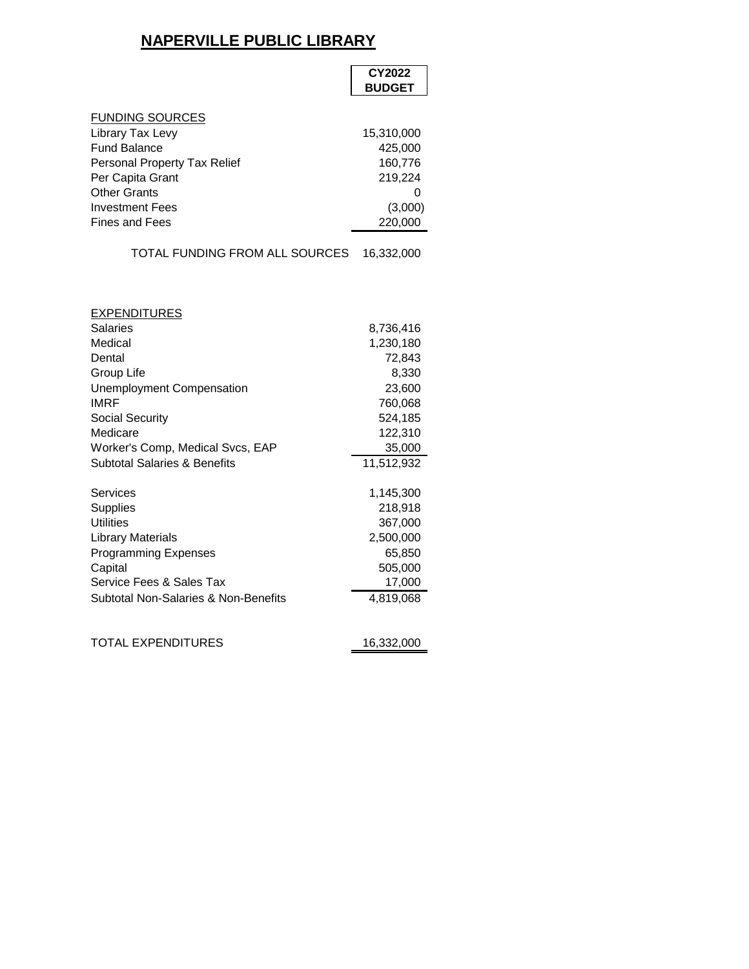## **NAPERVILLE PUBLIC LIBRARY**

|                                         | CY2022<br><b>BUDGET</b> |
|-----------------------------------------|-------------------------|
| <b>FUNDING SOURCES</b>                  |                         |
| Library Tax Levy                        | 15,310,000              |
| <b>Fund Balance</b>                     | 425,000                 |
| Personal Property Tax Relief            | 160,776                 |
| Per Capita Grant                        | 219,224                 |
| <b>Other Grants</b>                     | 0                       |
| <b>Investment Fees</b>                  | (3,000)                 |
| <b>Fines and Fees</b>                   | 220,000                 |
| TOTAL FUNDING FROM ALL SOURCES          | 16,332,000              |
|                                         |                         |
| <b>EXPENDITURES</b><br><b>Salaries</b>  | 8,736,416               |
| Medical                                 | 1,230,180               |
| Dental                                  | 72,843                  |
| Group Life                              | 8,330                   |
| <b>Unemployment Compensation</b>        | 23,600                  |
| <b>IMRF</b>                             | 760,068                 |
| Social Security                         | 524,185                 |
| Medicare                                | 122,310                 |
| Worker's Comp, Medical Svcs, EAP        | 35,000                  |
| <b>Subtotal Salaries &amp; Benefits</b> | 11,512,932              |
| Services                                | 1,145,300               |
| Supplies                                | 218,918                 |
| <b>Utilities</b>                        | 367,000                 |
| <b>Library Materials</b>                | 2,500,000               |
| <b>Programming Expenses</b>             | 65,850                  |
| Capital                                 | 505,000                 |
| Service Fees & Sales Tax                | 17,000                  |
| Subtotal Non-Salaries & Non-Benefits    | 4,819,068               |
| TOTAL EXPENDITURES                      | 16,332,000              |
|                                         |                         |